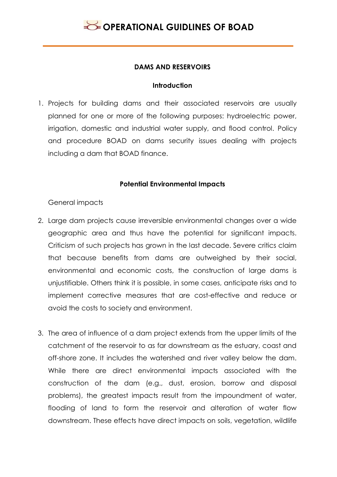### **DAMS AND RESERVOIRS**

### **Introduction**

1. Projects for building dams and their associated reservoirs are usually planned for one or more of the following purposes: hydroelectric power, irrigation, domestic and industrial water supply, and flood control. Policy and procedure BOAD on dams security issues dealing with projects including a dam that BOAD finance.

### **Potential Environmental Impacts**

General impacts

- 2. Large dam projects cause irreversible environmental changes over a wide geographic area and thus have the potential for significant impacts. Criticism of such projects has grown in the last decade. Severe critics claim that because benefits from dams are outweighed by their social, environmental and economic costs, the construction of large dams is unjustifiable. Others think it is possible, in some cases, anticipate risks and to implement corrective measures that are cost-effective and reduce or avoid the costs to society and environment.
- 3. The area of influence of a dam project extends from the upper limits of the catchment of the reservoir to as far downstream as the estuary, coast and off-shore zone. It includes the watershed and river valley below the dam. While there are direct environmental impacts associated with the construction of the dam (e.g., dust, erosion, borrow and disposal problems), the greatest impacts result from the impoundment of water, flooding of land to form the reservoir and alteration of water flow downstream. These effects have direct impacts on soils, vegetation, wildlife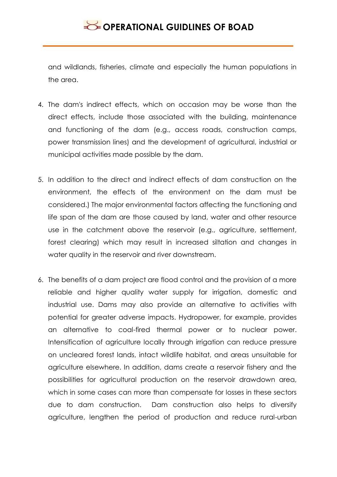and wildlands, fisheries, climate and especially the human populations in the area.

- 4. The dam's indirect effects, which on occasion may be worse than the direct effects, include those associated with the building, maintenance and functioning of the dam (e.g., access roads, construction camps, power transmission lines) and the development of agricultural, industrial or municipal activities made possible by the dam.
- 5. In addition to the direct and indirect effects of dam construction on the environment, the effects of the environment on the dam must be considered.) The major environmental factors affecting the functioning and life span of the dam are those caused by land, water and other resource use in the catchment above the reservoir (e.g., agriculture, settlement, forest clearing) which may result in increased siltation and changes in water quality in the reservoir and river downstream.
- 6. The benefits of a dam project are flood control and the provision of a more reliable and higher quality water supply for irrigation, domestic and industrial use. Dams may also provide an alternative to activities with potential for greater adverse impacts. Hydropower, for example, provides an alternative to coal-fired thermal power or to nuclear power. Intensification of agriculture locally through irrigation can reduce pressure on uncleared forest lands, intact wildlife habitat, and areas unsuitable for agriculture elsewhere. In addition, dams create a reservoir fishery and the possibilities for agricultural production on the reservoir drawdown area, which in some cases can more than compensate for losses in these sectors due to dam construction. Dam construction also helps to diversify agriculture, lengthen the period of production and reduce rural-urban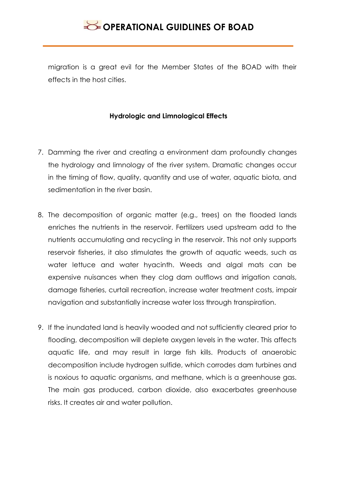migration is a great evil for the Member States of the BOAD with their effects in the host cities.

### **Hydrologic and Limnological Effects**

- 7. Damming the river and creating a environment dam profoundly changes the hydrology and limnology of the river system. Dramatic changes occur in the timing of flow, quality, quantity and use of water, aquatic biota, and sedimentation in the river basin.
- 8. The decomposition of organic matter (e.g., trees) on the flooded lands enriches the nutrients in the reservoir. Fertilizers used upstream add to the nutrients accumulating and recycling in the reservoir. This not only supports reservoir fisheries, it also stimulates the growth of aquatic weeds, such as water lettuce and water hyacinth. Weeds and algal mats can be expensive nuisances when they clog dam outflows and irrigation canals, damage fisheries, curtail recreation, increase water treatment costs, impair navigation and substantially increase water loss through transpiration.
- 9. If the inundated land is heavily wooded and not sufficiently cleared prior to flooding, decomposition will deplete oxygen levels in the water. This affects aquatic life, and may result in large fish kills. Products of anaerobic decomposition include hydrogen sulfide, which corrodes dam turbines and is noxious to aquatic organisms, and methane, which is a greenhouse gas. The main gas produced, carbon dioxide, also exacerbates greenhouse risks. It creates air and water pollution.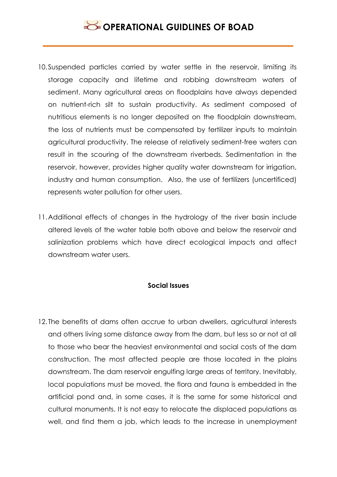- 10.Suspended particles carried by water settle in the reservoir, limiting its storage capacity and lifetime and robbing downstream waters of sediment. Many agricultural areas on floodplains have always depended on nutrient-rich silt to sustain productivity. As sediment composed of nutritious elements is no longer deposited on the floodplain downstream, the loss of nutrients must be compensated by fertilizer inputs to maintain agricultural productivity. The release of relatively sediment-free waters can result in the scouring of the downstream riverbeds. Sedimentation in the reservoir, however, provides higher quality water downstream for irrigation, industry and human consumption. Also, the use of fertilizers (uncertificed) represents water pollution for other users.
- 11.Additional effects of changes in the hydrology of the river basin include altered levels of the water table both above and below the reservoir and salinization problems which have direct ecological impacts and affect downstream water users.

#### **Social Issues**

12. The benefits of dams often accrue to urban dwellers, agricultural interests and others living some distance away from the dam, but less so or not at all to those who bear the heaviest environmental and social costs of the dam construction. The most affected people are those located in the plains downstream. The dam reservoir engulfing large areas of territory. Inevitably, local populations must be moved, the flora and fauna is embedded in the artificial pond and, in some cases, it is the same for some historical and cultural monuments. It is not easy to relocate the displaced populations as well, and find them a job, which leads to the increase in unemployment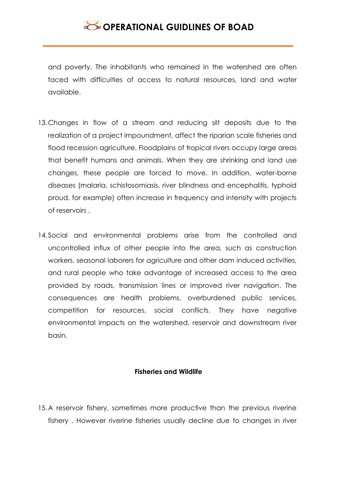and poverty. The inhabitants who remained in the watershed are often faced with difficulties of access to natural resources, land and water available.

- 13.Changes in flow of a stream and reducing silt deposits due to the realization of a project impoundment, affect the riparian scale fisheries and flood recession agriculture. Floodplains of tropical rivers occupy large areas that benefit humans and animals. When they are shrinking and land use changes, these people are forced to move. In addition, water-borne diseases (malaria, schistosomiasis, river blindness and encephalitis, typhoid proud, for example) often increase in frequency and intensity with projects of reservoirs .
- 14. Social and environmental problems arise from the controlled and uncontrolled influx of other people into the area, such as construction workers, seasonal laborers for agriculture and other dam induced activities, and rural people who take advantage of increased access to the area provided by roads, transmission lines or improved river navigation. The consequences are health problems, overburdened public services, competition for resources, social conflicts. They have negative environmental impacts on the watershed, reservoir and downstream river basin.

#### **Fisheries and Wildlife**

15.A reservoir fishery, sometimes more productive than the previous riverine fishery . However riverine fisheries usually decline due to changes in river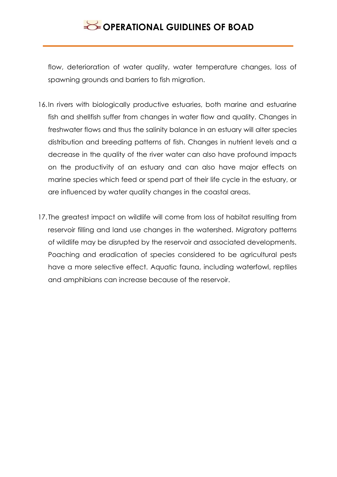flow, deterioration of water quality, water temperature changes, loss of spawning grounds and barriers to fish migration.

- 16.In rivers with biologically productive estuaries, both marine and estuarine fish and shellfish suffer from changes in water flow and quality. Changes in freshwater flows and thus the salinity balance in an estuary will alter species distribution and breeding patterns of fish. Changes in nutrient levels and a decrease in the quality of the river water can also have profound impacts on the productivity of an estuary and can also have major effects on marine species which feed or spend part of their life cycle in the estuary, or are influenced by water quality changes in the coastal areas.
- 17. The greatest impact on wildlife will come from loss of habitat resulting from reservoir filling and land use changes in the watershed. Migratory patterns of wildlife may be disrupted by the reservoir and associated developments. Poaching and eradication of species considered to be agricultural pests have a more selective effect. Aquatic fauna, including waterfowl, reptiles and amphibians can increase because of the reservoir.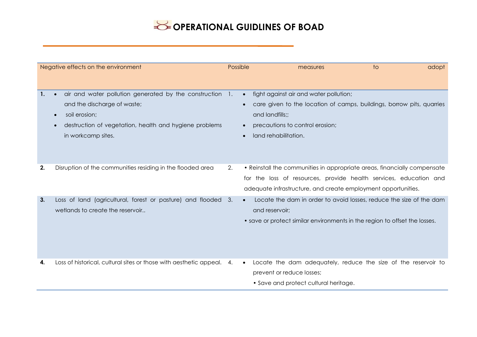|    | Negative effects on the environment                                                                                                                                                                                | Possible                            |                                         | measures                                                                  | to                                                                                                                                                                                                             | adopt |
|----|--------------------------------------------------------------------------------------------------------------------------------------------------------------------------------------------------------------------|-------------------------------------|-----------------------------------------|---------------------------------------------------------------------------|----------------------------------------------------------------------------------------------------------------------------------------------------------------------------------------------------------------|-------|
|    | air and water pollution generated by the construction 1.<br>and the discharge of waste;<br>soil erosion;<br>$\bullet$<br>destruction of vegetation, health and hygiene problems<br>$\bullet$<br>in workcamp sites. | $\bullet$<br>$\bullet$<br>$\bullet$ | and landfills;;<br>land rehabilitation. | fight against air and water pollution;<br>precautions to control erosion; | care given to the location of camps, buildings, borrow pits, quarries                                                                                                                                          |       |
| 2. | Disruption of the communities residing in the flooded area                                                                                                                                                         | 2.                                  |                                         |                                                                           | • Reinstall the communities in appropriate areas, financially compensate<br>for the loss of resources, provide health services, education and<br>adequate infrastructure, and create employment opportunities. |       |
| 3. | Loss of land (agricultural, forest or pasture) and flooded 3.<br>wetlands to create the reservoir                                                                                                                  | $\bullet$                           | and reservoir;                          |                                                                           | Locate the dam in order to avoid losses, reduce the size of the dam<br>• save or protect similar environments in the region to offset the losses.                                                              |       |
| 4. | Loss of historical, cultural sites or those with aesthetic appeal. 4.                                                                                                                                              | $\bullet$                           | prevent or reduce losses;               | • Save and protect cultural heritage.                                     | Locate the dam adequately, reduce the size of the reservoir to                                                                                                                                                 |       |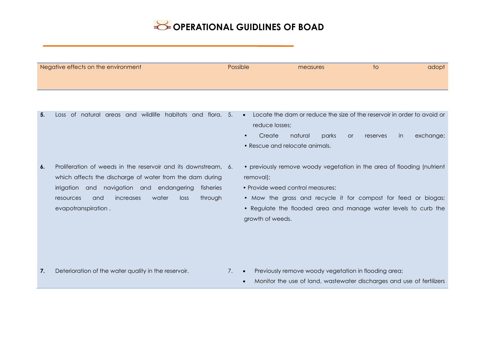| Negative effects on the environment | Possible | measures | ТO | adopt |
|-------------------------------------|----------|----------|----|-------|
|                                     |          |          |    |       |
|                                     |          |          |    |       |

- 
- **5.** Loss of natural areas and wildlife habitats and flora. 5. Locate the dam or reduce the size of the reservoir in order to avoid or reduce losses;
	- Create natural parks or reserves in exchange;
	- Rescue and relocate animals.
- **6.** Proliferation of weeds in the reservoir and its downstream, 6. which affects the discharge of water from the dam during irrigation and navigation and endangering fisheries resources and increases water loss through evapotranspiration .
- previously remove woody vegetation in the area of flooding (nutrient removal);
- Provide weed control measures:
- Mow the grass and recycle it for compost for feed or biogas;
- Regulate the flooded area and manage water levels to curb the growth of weeds.

- 
- 7. Deterioration of the water quality in the reservoir. **7. •** Previously remove woody vegetation in flooding area;
	- Monitor the use of land, wastewater discharges and use of fertilizers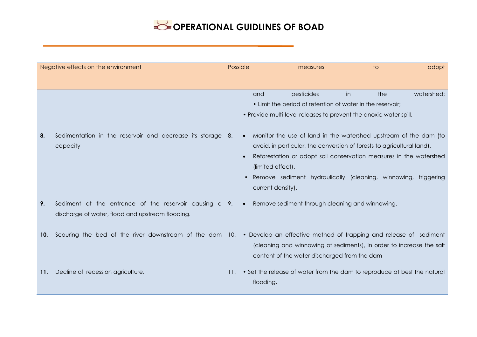|     | Negative effects on the environment                                                                                       | Possible |                                                                  | measures                                                                                                                                                                                                                                                                           |    | to  | adopt      |
|-----|---------------------------------------------------------------------------------------------------------------------------|----------|------------------------------------------------------------------|------------------------------------------------------------------------------------------------------------------------------------------------------------------------------------------------------------------------------------------------------------------------------------|----|-----|------------|
|     |                                                                                                                           |          |                                                                  |                                                                                                                                                                                                                                                                                    |    |     |            |
|     |                                                                                                                           |          | and                                                              | pesticides                                                                                                                                                                                                                                                                         | in | the | watershed; |
|     |                                                                                                                           |          |                                                                  | • Limit the period of retention of water in the reservoir;                                                                                                                                                                                                                         |    |     |            |
|     |                                                                                                                           |          |                                                                  | • Provide multi-level releases to prevent the anoxic water spill.                                                                                                                                                                                                                  |    |     |            |
| 8.  | Sedimentation in the reservoir and decrease its storage 8.<br>capacity                                                    |          | $\bullet$<br>$\bullet$<br>(limited effect).<br>current density). | Monitor the use of land in the watershed upstream of the dam (to<br>avoid, in particular, the conversion of forests to agricultural land).<br>Reforestation or adopt soil conservation measures in the watershed<br>Remove sediment hydraulically (cleaning, winnowing, triggering |    |     |            |
| 9.  | Sediment at the entrance of the reservoir causing a 9.<br>discharge of water, flood and upstream flooding.                |          | $\bullet$                                                        | Remove sediment through cleaning and winnowing.                                                                                                                                                                                                                                    |    |     |            |
| 10. | Scouring the bed of the river downstream of the dam 10. • Develop an effective method of trapping and release of sediment |          |                                                                  | (cleaning and winnowing of sediments), in order to increase the salt<br>content of the water discharged from the dam                                                                                                                                                               |    |     |            |
| 11. | Decline of recession agriculture.                                                                                         | 11.      | flooding.                                                        | • Set the release of water from the dam to reproduce at best the natural                                                                                                                                                                                                           |    |     |            |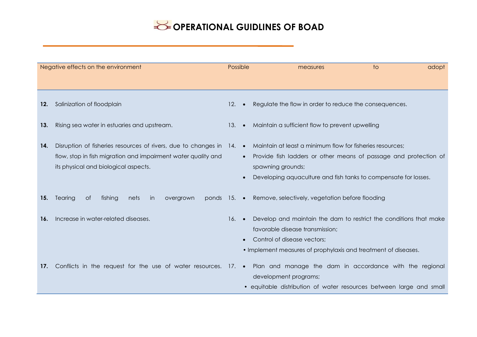| Negative effects on the environment |                                                                                                                                                                               | Possible        |                        | measures                                                                                                                                                                                                              | $\overline{1}$ | adopt |
|-------------------------------------|-------------------------------------------------------------------------------------------------------------------------------------------------------------------------------|-----------------|------------------------|-----------------------------------------------------------------------------------------------------------------------------------------------------------------------------------------------------------------------|----------------|-------|
|                                     |                                                                                                                                                                               |                 |                        |                                                                                                                                                                                                                       |                |       |
| 12.                                 | Salinization of floodplain                                                                                                                                                    | 12.             | $\bullet$              | Regulate the flow in order to reduce the consequences.                                                                                                                                                                |                |       |
| 13.                                 | Rising sea water in estuaries and upstream.                                                                                                                                   | 13.             | $\bullet$              | Maintain a sufficient flow to prevent upwelling                                                                                                                                                                       |                |       |
| 14.                                 | Disruption of fisheries resources of rivers, due to changes in 14. •<br>flow, stop in fish migration and impairment water quality and<br>its physical and biological aspects. |                 | $\bullet$<br>$\bullet$ | Maintain at least a minimum flow for fisheries resources;<br>Provide fish ladders or other means of passage and protection of<br>spawning grounds;<br>Developing aquaculture and fish tanks to compensate for losses. |                |       |
| 15.                                 | Tearing<br>ponds $15.$ $\bullet$<br>fishing<br>0f<br>nets<br>in<br>overgrown                                                                                                  |                 |                        | Remove, selectively, vegetation before flooding                                                                                                                                                                       |                |       |
| 16.                                 | Increase in water-related diseases.                                                                                                                                           | $16.$ $\bullet$ | $\bullet$              | Develop and maintain the dam to restrict the conditions that make<br>favorable disease transmission;<br>Control of disease vectors;<br>• Implement measures of prophylaxis and treatment of diseases.                 |                |       |
| 17.                                 | Conflicts in the request for the use of water resources. 17. • Plan and manage the dam in accordance with the regional                                                        |                 |                        | development programs;<br>• equitable distribution of water resources between large and small                                                                                                                          |                |       |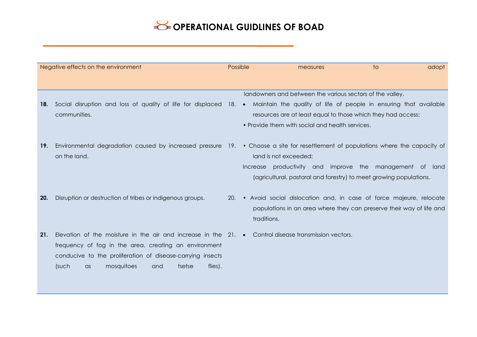| Negative effects on the environment |                                                                                                                                                                                                                                                                                              | Possible   |             | measures                                                                                                                                                                     | to                                                                                                                                         | adopt |
|-------------------------------------|----------------------------------------------------------------------------------------------------------------------------------------------------------------------------------------------------------------------------------------------------------------------------------------------|------------|-------------|------------------------------------------------------------------------------------------------------------------------------------------------------------------------------|--------------------------------------------------------------------------------------------------------------------------------------------|-------|
|                                     |                                                                                                                                                                                                                                                                                              |            |             |                                                                                                                                                                              |                                                                                                                                            |       |
| 18.                                 | Social disruption and loss of quality of life for displaced 18. • Maintain the quality of life of people in ensuring that available<br>communities.                                                                                                                                          |            |             | landowners and between the various sectors of the valley.<br>resources are at least equal to those which they had access;<br>• Provide them with social and health services. |                                                                                                                                            |       |
| 19.                                 | Environmental degradation caused by increased pressure 19. • Choose a site for resettlement of populations where the capacity of<br>on the land.                                                                                                                                             |            | Increase    | land is not exceeded;                                                                                                                                                        | productivity and improve the management of land<br>(agricultural, pastoral and forestry) to meet growing populations.                      |       |
| 20.                                 | Disruption or destruction of tribes or indigenous groups.                                                                                                                                                                                                                                    | <b>20.</b> | traditions. |                                                                                                                                                                              | • Avoid social dislocation and, in case of force majeure, relocate<br>populations in an area where they can preserve their way of life and |       |
| 21.                                 | Elevation of the moisture in the air and increase in the 21. • Control disease transmission vectors.<br>frequency of fog in the area, creating an environment<br>conducive to the proliferation of disease-carrying insects<br>mosquitoes<br>(such<br>and<br>tsetse<br>flies).<br>$\alpha$ s |            |             |                                                                                                                                                                              |                                                                                                                                            |       |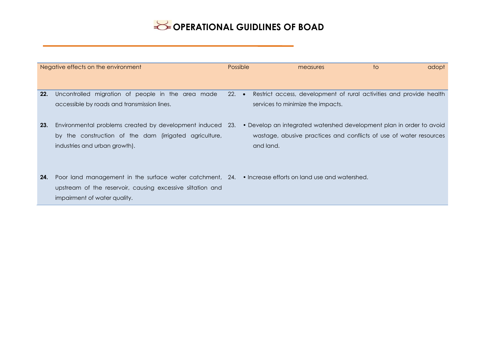| Negative effects on the environment |                                                                                                                                                        | Possible        |  | measures                                                                                                                                                | to | adopt |
|-------------------------------------|--------------------------------------------------------------------------------------------------------------------------------------------------------|-----------------|--|---------------------------------------------------------------------------------------------------------------------------------------------------------|----|-------|
|                                     |                                                                                                                                                        |                 |  |                                                                                                                                                         |    |       |
| 22.                                 | Uncontrolled migration of people in the area made<br>accessible by roads and transmission lines.                                                       | $22.$ $\bullet$ |  | Restrict access, development of rural activities and provide health<br>services to minimize the impacts.                                                |    |       |
| 23.                                 | Environmental problems created by development induced<br>by the construction of the dam (irrigated agriculture,<br>industries and urban growth).       | -23.            |  | • Develop an integrated watershed development plan in order to avoid<br>wastage, abusive practices and conflicts of use of water resources<br>and land. |    |       |
| 24.                                 | Poor land management in the surface water catchment, 24.<br>upstream of the reservoir, causing excessive siltation and<br>impairment of water quality. |                 |  | • Increase efforts on land use and watershed.                                                                                                           |    |       |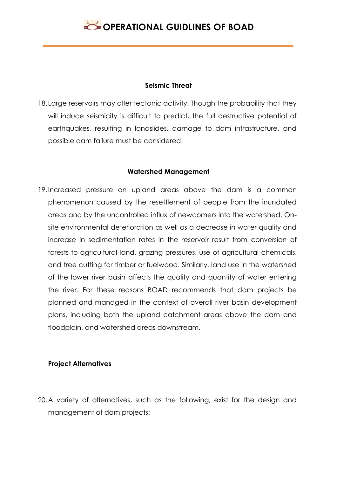#### **Seismic Threat**

18. Large reservoirs may alter tectonic activity. Though the probability that they will induce seismicity is difficult to predict, the full destructive potential of earthquakes, resulting in landslides, damage to dam infrastructure, and possible dam failure must be considered.

#### **Watershed Management**

19.Increased pressure on upland areas above the dam is a common phenomenon caused by the resettlement of people from the inundated areas and by the uncontrolled influx of newcomers into the watershed. Onsite environmental deterioration as well as a decrease in water quality and increase in sedimentation rates in the reservoir result from conversion of forests to agricultural land, grazing pressures, use of agricultural chemicals, and tree cutting for timber or fuelwood. Similarly, land use in the watershed of the lower river basin affects the quality and quantity of water entering the river. For these reasons BOAD recommends that dam projects be planned and managed in the context of overall river basin development plans, including both the upland catchment areas above the dam and floodplain, and watershed areas downstream.

### **Project Alternatives**

20.A variety of alternatives, such as the following, exist for the design and management of dam projects: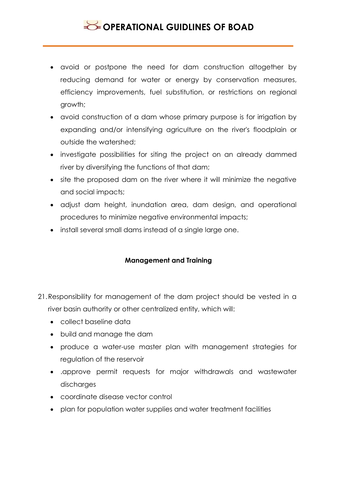- avoid or postpone the need for dam construction altogether by reducing demand for water or energy by conservation measures, efficiency improvements, fuel substitution, or restrictions on regional growth;
- avoid construction of a dam whose primary purpose is for irrigation by expanding and/or intensifying agriculture on the river's floodplain or outside the watershed;
- investigate possibilities for siting the project on an already dammed river by diversifying the functions of that dam;
- site the proposed dam on the river where it will minimize the negative and social impacts;
- adjust dam height, inundation area, dam design, and operational procedures to minimize negative environmental impacts;
- install several small dams instead of a single large one.

### **Management and Training**

- 21.Responsibility for management of the dam project should be vested in a river basin authority or other centralized entity, which will:
	- collect baseline data
	- build and manage the dam
	- produce a water-use master plan with management strategies for regulation of the reservoir
	- .approve permit requests for major withdrawals and wastewater discharges
	- coordinate disease vector control
	- plan for population water supplies and water treatment facilities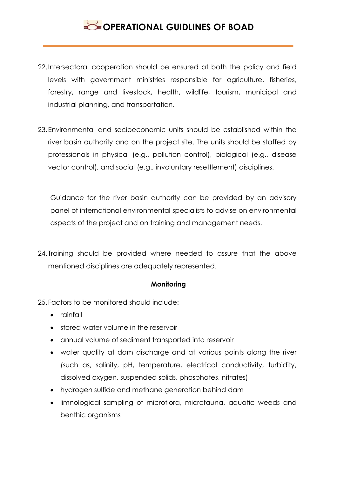- 22.Intersectoral cooperation should be ensured at both the policy and field levels with government ministries responsible for agriculture, fisheries, forestry, range and livestock, health, wildlife, tourism, municipal and industrial planning, and transportation.
- 23.Environmental and socioeconomic units should be established within the river basin authority and on the project site. The units should be staffed by professionals in physical (e.g., pollution control), biological (e.g., disease vector control), and social (e.g., involuntary resettlement) disciplines.

Guidance for the river basin authority can be provided by an advisory panel of international environmental specialists to advise on environmental aspects of the project and on training and management needs.

24. Training should be provided where needed to assure that the above mentioned disciplines are adequately represented.

### **Monitoring**

25.Factors to be monitored should include:

- rainfall
- stored water volume in the reservoir
- annual volume of sediment transported into reservoir
- water quality at dam discharge and at various points along the river (such as, salinity, pH, temperature, electrical conductivity, turbidity, dissolved oxygen, suspended solids, phosphates, nitrates)
- hydrogen sulfide and methane generation behind dam
- limnological sampling of microflora, microfauna, aquatic weeds and benthic organisms